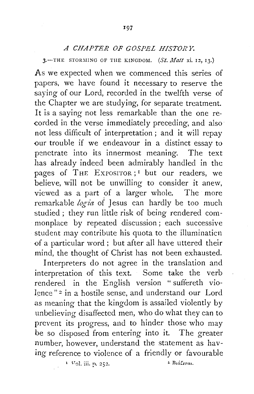## *A CHAPTER OF GOSPEL HISTORY.*

 $3.$ -THE STORMING OF THE KINGDOM. (St. *Matt* xi. 12, 13.)

As we expected when we commenced this series of papers, we have found it necessary to reserve the saying of our Lord, recorded in the twelfth verse of the Chapter we are studying, for separate treatment. It is a saying not less remarkable than the one recorded in the verse immediately preceding, and also not less difficult of interpretation ; and it will repay our trouble if we endeavour in a distinct essay to penetrate into its innermost meaning. The text has already indeed been admirably handled in the pages of THE EXPOSITOR;<sup>I</sup> but our readers, we believe, will not be unwilling to consider it anew, viewed as a part of a larger whole. The more remarkable logia of Jesus can hardly be too much studied ; they run little risk of being rendered commonplace by repeated discussion; each successive student may contribute his quota to the illuminaticn of a particular word; but after all have uttered their mind, the thought of Christ has not been exhausted.

Interpreters do not agree in the translation and interpretation of this text. Some take the verb rendered in the English version " suffereth violence" 2 in a hostile sense, and understand our Lord as meaning that the kingdom is assailed violently by unbelieving disaffected men, who do what they can to prevent its progress, and to hinder those who may be so disposed from entering into it. The greater number, however, understand the statement as having reference to violence of a friendly or favourable

<sup>1</sup>**V'JL iii. p. 252.** 

 $\pm$  Biá $\ell$ <sub>stai</sub>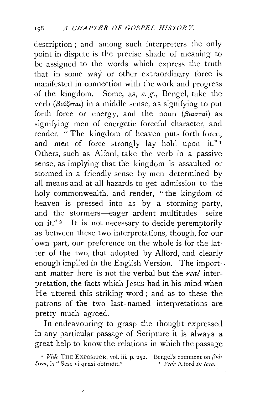description; and among such interpreters the only point in dispute is the precise shade of meaning to be assigned to the words which express the truth that in some way or other extraordinary force is manifested in connection with the work and progress of the kingdom. Some, as, *e. g.*, Bengel, take the verb *(f3uisETa£)* in a middle sense, as signifying to put forth force or energy, and the noun *(Biaoral)* as signifying men of energetic forceful character, and render, "The kingdom of heaven puts forth force, and men of force strongly lay hold upon it."<sup>1</sup> Others, such as Alford, take the verb in a passive sense, as implying that the kingdom is assaulted or stormed in a friendly sense by men determined by all means and at all hazards to get admission to the holy commonwealth, and render, "the kingdom of heaven is pressed into as by a storming party, and the stormers-eager ardent multitudes-seize on it." $2$  It is not necessary to decide peremptorily as between these two interpretations, though, for our own part, our preference on the whole is for the latter of the two, that adopted by Alford, and clearly enough implied in the English Version. The import-. ant matter here is not the verbal but the *real* interpretation, the facts which Jesus had in his mind when He uttered this striking word; and as to these the patrons of the two last-named interpretations are pretty much agreed.

In endeavouring to grasp the thought expressed in any particular passage of Scripture it is always a great help to know the relations in which the passage

 $\overline{\phantom{a}}$ 

<sup>&</sup>lt;sup>1</sup> *Vide* THE EXPOSITOR, vol. iii. p. 252. Bengel's comment on  $\beta t$ *ia*-<br> *z Vide* Alford *in loco*.  $\zeta$ <sub>erat</sub>, is " Sese vi quasi obtrudit."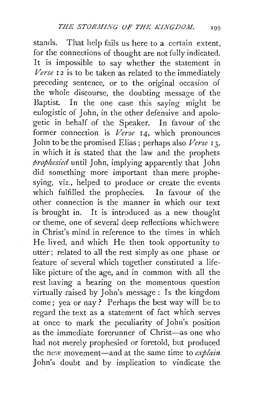stands. That help fails us here to a certain extent, for the connections of thought are not fully indicated. It is impossible to say whether the statement in *Verse* 12 is to be taken as related to the immediately preceding sentence, or to the original occasion of the whole discourse, the doubting message of the Baptist. In the one case this saying might be eulogistic of John, in the other defensive and apologetic in behalf of the Speaker. In favour of the former connection is *Verse* I4, which pronounces John to be the promised Elias ; perhaps also *Verse* I 3, in which it is stated that the law and the prophets *prophesied* until John, implying apparently that John did something more important than mere prophesying, viz., helped to produce or create the events which fulfilled the prophecies. In favour of the other connection is the manner in which our text is brought in. It is introduced as a new thought or theme, one of several deep reflections which were in Christ's mind in reference to the times in which He lived, and which He then took opportunity to utter; related to all the rest simply as one phase or feature of several which together constituted a lifelike picture of the age, and in common with all the rest having a bearing on the momentous question . virtually raised by John's message : Is the kingdom come ; yea or nay ? Perhaps the best way will be to regard the text as a statement of fact which serves at once to mark the peculiarity of John's position as the immediate forerunner of Christ—as one who had not merely prophesied or foretold, but produced the new movement-and at the same time to *explain*  John's doubt and by implication to vindicate the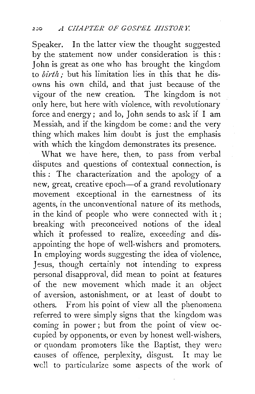Speaker. In the latter view the thought suggested by the statement now under consideration is this : John is great as one who has brought the kingdom to *birth*; but his limitation lies in this that he disowns his own child, and that just because of the vigour of the new creation. The kingdom is not only here, but here with violence, with revolutionary force and energy ; and lo, John sends to ask if I am Messiah, and if the kingdom be come: and the very thing which makes him doubt is just the emphasis with which the kingdom demonstrates its presence.

What we have here, then, to pass from verbal disputes and questions of contextual connection, is this : The characterization and the apology of a new, great, creative epoch-of a grand revolutionary movement exceptional in the earnestness of its agents, in the unconventional nature of its methods, in the kind of people who were connected with it; breaking with preconceived notions of the ideal which it professed to realize, exceeding and disappointing the hope of well-wishers and promoters. In employing words suggesting the idea of violence, Jesus, though certainly not intending to express personal disapproval, did mean to point at features of the new movement which made it an object of aversion, astonishment, or at least of doubt to others. From his point of view all the phenomena referred to were simply signs that the kingdom was coming in power ; but from the point of view occupied by opponents, or even by honest well-wishers, or quondam promoters like the Baptist, they were causes of offence, perplexity, disgust. It may be well to particularize some aspects of the work of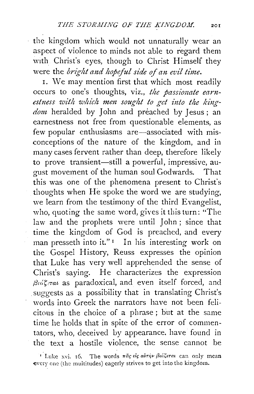the kingdom which would not unnaturally wear an aspect of violence to minds not able to regard them with Christ's eyes, though to Christ Himself they were the *bright and hopeful side of an evil time*.

1. We may mention first that which most readily occurs to one's thoughts, viz., *the passionate earn*estness with which men sought to get into the king*dom* heralded by John and preached by Jesus ; an earnestness not free from questionable elements, as few popular enthusiasms are-associated with misconceptions of the nature of the kingdom, and in many cases fervent rather than deep, therefore likely to prove transient-still a powerful, impressive, august movement of the human soul Godwards. That this was one of the phenomena present to Christ's thoughts when He spoke the word we are studying, we learn from the testimony of the third Evangelist, who, quoting the same word, gives it this turn: "The law and the prophets were until John; since that time the kingdom of God is preached, and every man presseth into it."<sup>1</sup> In his interesting work on the Gospel History, Reuss expresses the opinion that Luke has very well apprehended the sense of Christ's saying. He characterizes the expression *j3u:t;,Tat* as paradoxical, and even itself forced, and . suggests as a possibility that in translating Christ's words into Greek the narrators have not been felicitous in the choice of a phrase ; but at the same time he holds that in spite of the error of commentators, who, deceived by appearance. have found in the text a hostile violence, the sense cannot be

<sup>&</sup>lt;sup>1</sup> Luke xvi. 16. The words  $\pi$ ac eic avrip Bialerai can only mean every one (the multitudes) eagerly strives to get into the kingdom.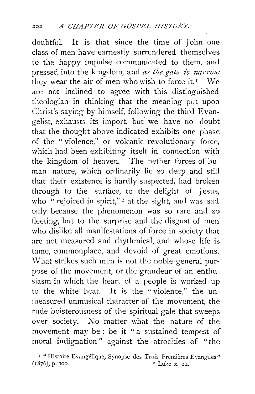doubtful. It is that since the time of *]* ohn one class of men have earnestly surrendered themselves to the happy impulse communicated to them, and pressed into the kingdom, and *as the gate is narrow*  they wear the air of men who wish to force it.<sup>1</sup> We are not inclined to agree with this distinguished theologian in thinking that the meaning put upon Christ's saying by himself, following the third Evangelist, exhausts its import, but we have no doubt that the thought above indicated exhibits one phase of the "violence," or volcanic revolutionary force, which had been exhibiting itself in connection with the kingdom of heaven. The nether forces of human nature, which ordinarily lie so deep and still that their existence is hardly suspected, had broken through to the surface, to the delight of *]* esus, who "rejoiced in spirit,"<sup>2</sup> at the sight, and was sad only because the phenomenon was so rare and so fleeting, but to the surprise and the disgust of men who dislike all manifestations of force in society that are not measured and rhythmical, and whose life is tame, commonplace, and devoid of great emotions. \Vhat strikes such men is not the noble general purpose of the movement, or the grandeur of an enthusiasm in which the heart of a people is worked up to the white heat. It is the "violence," the unmeasured unmusical character of the movement, the rude boisterousness of the spiritual gale that sweeps over society. No matter what the nature of the movement may be: be it "a sustained tempest of moral indignation " against the atrocities of "the

<sup>&</sup>lt;sup>1</sup> "Histoire Evangélique, Synopse des Trois Premières Evangiles"  $(1876)$ , p. 300.  $21.$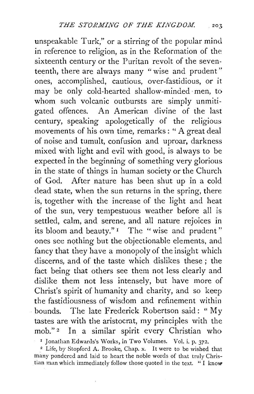unspeakable Turk," or a stirring of the popular mind in reference to religion, as in the Reformation of the sixteenth century or the Puritan revolt of the seventeenth, there are always many "wise and prudent" ones, accomplished, cautious, over-fastidious, or it may be only cold-hearted shallow-minded· men, to whom such volcanic outbursts are simply unmitigated offences. An American divine of the last century, speaking apologetically of the religious movements of his own time, remarks : " A great deal of noise and tumult, confusion and uproar, darkness mixed with light and evil with good, is always to be expected in the beginning of something very glorious in the state of things in human society or the Church of God. After nature has been shut up in a cold dead state, when the sun returns in the spring, there is, together with the increase of the light and heat of the sun, very tempestuous weather before all is settled, calm, and serene, and all nature rejoices in its bloom and beauty."<sup>1</sup> The "wise and prudent" ones see nothing but the objectionable elements, and fancy that they have a monopoly of the insight which discerns, and of the taste which dislikes these ; the fact being that others see them not less clearly and dislike them not less intensely, but have more of Christ's spirit of humanity and charity, and so keep the fastidiousness of wisdom and refinement within bounds. The late Frederick Robertson said: "My tastes are with the aristocrat, my principles with the mob." 2 In a similar spirit every Christian who

<sup>1</sup> Jonathan Edwards's Works, in Two Volumes. Vol. i. p. 372.<br><sup>2</sup> Life, by Stopford A. Brooke, Chap. x. It were to be wished that

many pondered and laid to heart the noble words of that truly Christian man which immediately follow those quoted in the text. " I know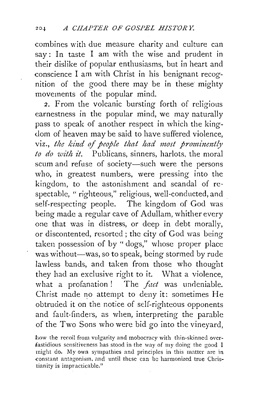combines with due measure charity and culture can say: In taste I am with the wise and prudent in their dislike of popular enthusiasms, but in heart and conscience I am with Christ in his benignant recognition of the good there may be in these mighty movements of the popular mind.

2. From the volcanic bursting forth of religious earnestness in the popular mind, we may naturally pass to speak of another respect in which the kingdom of heaven may be said to have suffered violence, viz., *the kind of people that had most prominently to do with it.* Publicans, sinners, harlots, the moral scum and refuse of society-such were the persons who, in greatest numbers, were pressing into the kingdom, to the astonishment and scandal of respectable, " righteous," religious, well-conducted, and self-respecting people. The kingdom of God was being made a regular cave of Adullam, whither every one that was in distress, or deep in debt morally, or discontented, resorted; the city of God was being taken possession of by "dogs," whose proper place was without-was, so to speak, being stormed by rude lawless bands, and taken from those who thought they had an exclusive right to it. What a violence, what a profanation ! The *fact* was undeniable. Christ made no attempt to deny it: sometimes He obtruded it on the notice of self-righteous opponents and fault-finders, as when, interpreting the parable of the Two Sons who were bid go into the vineyard,

how the recoil from vulgarity and mobocracy with thin-skinned overfastidious sensitiveness has stood in the way of my doing the good I might do. My own sympathies and principles in this matter are in constant antagonism, and until these can be harmonized true Christianity is impracticable."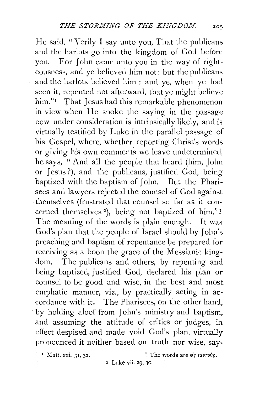He said, "Verily I say unto you, That the publicans and the harlots go into the kingdom of God before you. For John came unto you in the way of righteousness, and ye believed him not: but the publicans and the harlots believed him : and ye, when ye had seen it, repented not afterward, that ye might believe him."<sup>r</sup> That Jesus had this remarkable phenomenon in view when He spoke the saying in the passage now under consideration is intrinsically likely, and is virtually testified by Luke in the parallel passage of his Gospel, where, whether reporting Christ's words or giving his own comments we leave undetermined, he says, "And all the people that heard (him. John or Jesus ?), and the publicans, justified God, being baptized with the baptism of John. But the Pharisees and lawyers rejected the counsel of God against themselves (frustrated that counsel so far as it concerned themselves <sup>2</sup>), being not baptized of him."3 The meaning of the words is plain enough. It was God's plan that the people of Israel should by John's. preaching and baptism of repentance be prepared for receiving as a boon the grace of the Messianic kingdom. The publicans and others, by repenting and being baptized, justified God, declared his plan or counsel to be good and wise, in the best and most emphatic manner, viz., by practically acting in accordance with it. The Pharisees, on the other hand, by holding aloof from John's ministry and baptism, and assuming the attitude of critics or judges, in effect despised and made void God's plan, virtually pronounced it neither based on truth nor wise, say-

<sup>1</sup> Matt. xxi. 31, 32.  $^2$  The words are  $\epsilon \ell_S$  *iavrovs*.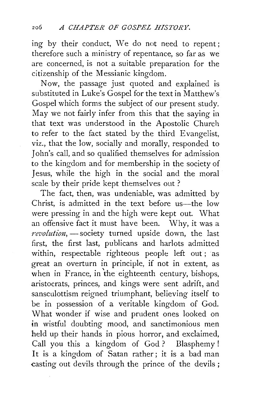ing by their conduct, We do not need to repent; therefore such a ministry of repentance, so far as we are concerned, is not a suitable preparation for the citizenship of the Messianic kingdom.

Now, the passage just quoted and explained is substituted in Luke's Gospel for the text in Matthew's Gospel which forms the subject of our present study. May we not fairly infer from this that the saying in that text was understood in the Apostolic Church to refer to the fact stated by the third Evangelist, viz., that the low, socially and morally, responded to John's call, and so qualified themselves for admission to the kingdom and for membership in the society of Jesus, while the high in the social and the moral scale by their pride kept themselves out ?

The fact, then, was undeniable, was admitted by Christ, is admitted in the text before us—the low were pressing in and the high were kept out. What an offensive fact it must have been. Why, it was a revolution, - society turned upside down, the last first, the first last, publicans and harlots admitted within, respectable righteous people left out ; as great an overturn in principle, if not in extent, as when in France, in the eighteenth century, bishops, aristocrats, princes, and kings were sent adrift, and sansculottism reigned triumphant, believing itself to be in possession of a veritable kingdom of God. \Vhat wonder if wise and prudent ones looked on in wistful doubting mood, and sanctimonious men held up their hands in pious horror, and exclaimed, Call you this a kingdom of God? Blasphemy! It is a kingdom of Satan rather; it is a bad man casting out devils through the prince of the devils ;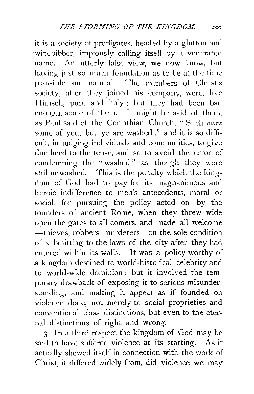it is a society of profligates, headed by a glutton and winebibber, impiously calling itself by a venerated name. An utterly false view, we now know, but having just so much foundation as to be at the time plausible and natural. The members of Christ's society, after they joined his company, were, like Himself, pure and holy; but they had been bad enough, some of them. It might be said of them, as Paul said of the Corinthian Church, "Such *were*  some of you, but ye are washed;" and it is so difficult, in judging individuals and communities, to give due heed to the tense, and so to avoid the error of condemning the "washed " as though they were still unwashed. This is the penalty which the kingc!om of God had to pay for its magnanimous and heroic indifference to men's antecedents, moral or social, for pursuing the policy · acted on by the founders of ancient Rome, when they threw wide open the gates to all comers, and made all welcome -thieves, robbers, murderers-on the sole condition of submitting to the laws of the city after they had entered within its walls. It was a policy worthy of a kingdom destined to world-historical celebrity and to world-wide dominion ; but it involved the temporary drawback of exposing it to serious misunderstanding, and making it appear as if founded on violence done, not merely to social proprieties and conventional class distinctions, but even to the eternal distinctions of right and wrong.

3· In a third respect the kingdom of God may be said to have suffered violence at its starting. As it actually shewed itself in connection with the work of Christ, it differed widely from, did violence we may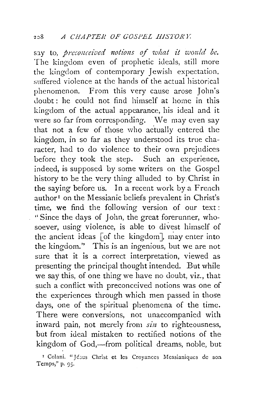say to, *preconceived notions of what it would be.* The kingdom even of prophetic ideals, still more the kingdom of contemporary Jewish expectation, suffered violence at the hands of the actual historical phenomenon. From this very cause arose John's doubt : he could not find himself at home in this kingdom of the actual appearance, his ideal and it were so far from corresponding. We may even say that not a few of those who ac'tually entered the kingdom, in so far as they understood its true character, had to do violence to their own prejudices before they took the step. Such an experience, indeed, is supposed by some writers on the Gospel history to be the very thing alluded to by Christ in the saying before us. In a recent work by a French author<sup>1</sup> on the Messianic beliefs prevalent in Christ's time, we find the following version of our text : "Since the days of John, the great forerunner, whosoever, using violence, is able to divest himself of the ancient ideas [of the kingdom], may enter into the kingdom." This is an ingenious, but we are not sure that it is a correct interpretation, viewed as presenting the principal thought intended. But while we say this, of one thing we have no doubt, viz., that such a conflict with preconceived notions was one of the experiences through which men passed in those days, one of the spiritual phenomena of the time. There were conversions, not unaccompanied with inward pain, not merely from *sin* to righteousness, but from ideal mistaken to rectified notions of the kingdom of God,—from political dreams, noble, but

<sup>1</sup> Colani. "Jésus Christ et les Croyances Messianiques de son Temps," p. 95·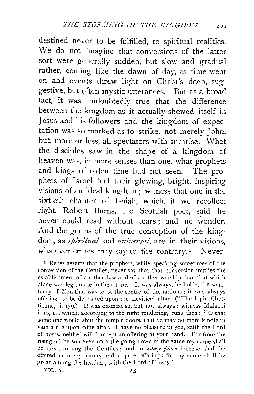destined never to be fulfilled, to spiritual realities. We do not imagine that conversions of the latter sort were generally sudden, but slow and gradual rather, coming like the dawn of day, as time went on and events threw light on Christ's deep, suggestive, but often mystic utterances. But as a broad fact, it was undoubtedly true that the difference between the kingdom as it actually shewed itself in Jesus and his followers and the kingdom of expectation was so marked as to strike, not merely John, but, more or less, all spectators with surprise. What the disciples saw in the shape of a kingdom of heaven was, in more senses than one, what prophets and kings of olden time had not seen. The prophets of Israel had their glowing, bright, inspiring visions of an ideal kingdom ; witness that one in the sixtieth chapter of Isaiah, which, if we recollect right, Robert Burns, the Scottish poet, said he never could read without tears : and no wonder. And the germs of the true conception of the kingdom, as *spiritual* and *universal*, are in their visions, whatever critics may say to the contrary.<sup>1</sup> Never-

r Reuss asserts that the prophets, while speaking sometimes of the conversion of the Gentiles, never say that that conversion implies the establishment of another law and of another worship than that which alone was legitimate in their time. It was always, he holds, the sanctuary of Zion that was to be the centre of the nations ; it was always offerings to be deposited upon the Levitical altar. ("Theologie Chrétienne," i. 179.) It was oftenest so, but not always ; witness Malachi i. 10, 11, which, according to the right rendering, runs thus: "O that some one would shut the temple doors, that ye may no more kindle in vain a fire upon mine altar.  $\dot{I}$  have no pleasure in you, saith the Lord of hosts, neither will I accept an offering at your hand. For from the rising of the sun even unto the going down of the same my name shall be great among the Gentiles ; and in *every place* incense shall be offered unto my name, and a pure offering : for my name shall be great among the heathen, saith the Lord of hosts."

VOL.  $V.$   $I_5$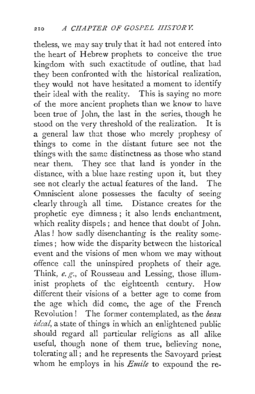theless, we may say truly that it had not entered into the heart of Hebrew prophets to conceive the true kingdom with such exactitude of outline, that had they been confronted with the historical realization, they would not have hesitated a moment to identify their ideal with the reality. This is saying no more of the more ancient prophets than we know to have been true of John, the last in the series, though he stood on the very threshold of the realization. It is a general law that those who merely prophesy of things to come in the distant future see not the things with the same distinctness as those who stand near them. They see that land is yonder in the distance, with a blue haze resting upon it, but they see not clearly the actual features of the land. The Omniscient alone possesses the faculty of seeing dearly through all time. Distance creates for the prophetic eye dimness; it also lends enchantment, which reality dispels; and hence that doubt of John. Alas l how sadly disenchanting is the reality sometimes ; how wide the disparity between the historical event and the visions of men whom we may without offence call the uninspired prophets of their age. Think, *e. g.,* of Rousseau and Lessing, those illuminist prophets of the eighteenth century. How different their visions of a better age to come from the age which did come, the age of the French Revolution l The former contemplated, as the *beau. ideal*, a state of things in which an enlightened public should regard all particular religions as all alike useful, though none of them true, believing none, tolerating all; and he represents the Savoyard priest whom he employs in his *Enzile* to expound the re-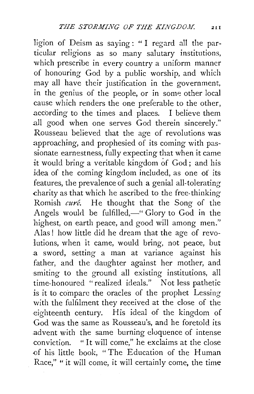1igion of Deism as saying: " I regard all the particular religions as so many salutary institutions, which prescribe in every country a uniform manner of honouring God by a public worship, and which may all have their justification in the government, in the genius of the people, or in some other local cause which renders the one preferable to the other, according to the times and places. I believe them all good when one serves God therein sincerely." Rousseau believed that the age of revolutions was approaching, and prophesied of its coming with passionate earnestness, fully expecting that when it came it would bring a veritable kingdom of God; and his idea of the coming kingdom included, as one of its features, the prevalence of such a genial all-tolerating .charity as that which he ascribed to the free-thinking Romish *cure.* He thought that the Song of the Angels would be fulfilled, $-$ " Glory to God in the highest, on earth peace, and good will among men." Alas ! how little did he dream that the age of revolutions, when it came, would bring, not peace, but .a sword, setting a man at variance against his father, and the daughter against her mother, and smiting to the ground all existing institutions, all time-honoured "realized ideals." Not less pathetic is it to compare the oracles of the prophet Lessing with the fulfilment they received at the close of the eighteenth century. His ideal of the kingdom of God was the same as Rousseau's, and he foretold its .advent with the same burning eloquence of intense conviction. " It will come," he exclaims at the close of his little book, "The Education of the Human Race," "it will come, it will certainly come, the time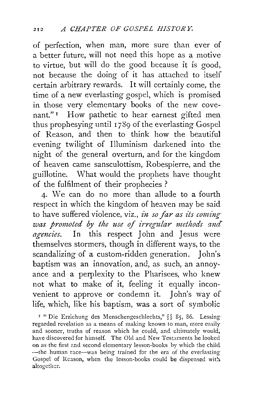of perfection, when man, more sure than ever of a better future, will not need this hope as a motive to virtue, but will do the good because it is good, not because the doing of it has attached to itself certain arbitrary rewards. It will certainly come, the time of a new everlasting gospel, which is promised in those very elementary books of the new covenant."<sup>1</sup> How pathetic to hear earnest gifted men thus prophesying until I *789* of the everlasting Gospel of Reason, and then to think how the beautiful evening twilight of Illuminism darkened into the night of the general overturn, and for the kingdom of heaven came sansculottism, Robespierre, and the guillotine. What would the prophets have thought of the fulfilment of their prophecies ?

4· We can do no more than allude to a fourth respect in which the kingdom of heaven may be said to have suffered violence, viz., *in so far as its coming* was promoted by the use of irregular methods and *agencies*. In this respect John and Jesus were themselves stormers, though in different ways, to the scandalizing of a custom-ridden generation. John's. baptism was an innovation, and, as such, an annoyance and a perplexity to the Pharisees, who knew not what to make of it, feeling it equally inconvenient to approve or condemn it. John's way of life, which, like his baptism, was a sort of symbolic

<sup>1</sup> "Die Erziehung des Menschengeschlechts," §§ 85, 86. Lessingregarded revelation as a means of making known to man, more easily and sooner, truths of reason which he could, and ultimately would, have discovered for himself. The Old and New Testaments he looked on as the first and second elementary lesson-books by which the child ~the human race-was being trained for the era of the everlasting Gospel of Reason, when the lesson-books could be dispensed with altogether.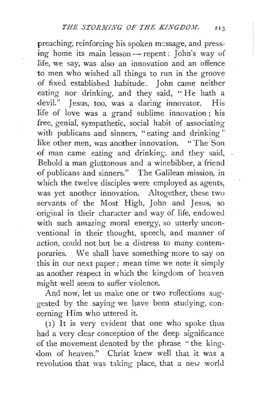preaching, reinforcing his spoken message, and press- $\lim_{x \to a}$  home its main lesson — repent :  $\lim_{x \to a} s$  way of life, we say, was also an innovation and an offence to men who wished all things to run in the groove of fixed established habitude. John came neither eating nor drinking, and they said, "He hath a devil." Iesus, too, was a daring innovator. His devil." Jesus, too, was a daring innovator. life of love was a grand sublime innovation ; his free, genial, sympathetic, social habit of associating with publicans and sinners, "eating and drinking" like other men, was another innovation. " The Son of man came eating and drinking, and they said, Behold a man gluttonous and a winebibber, a friend of publicans and sinners." The Galilean mission, in which the twelve disciples were employed as agents, was yet another innovation. Altogether, these two servants of the Most High, John and Jesus, so original in their character and way of life, endowed with such amazing moral energy, so utterly unconventional in their thought, speech, and manner of action, could not but be a distress to many contemporaries. We shall have something more to say on this in our next paper; mean time we note it simply as another respect in which the kingdom of heaven might well seem to suffer violence.

And now, let us make one or two reflections suggested by the saying we have been studying, concerning Him who uttered it.

(I) It is very evident that one who spoke thus had a very clear conception of the deep significance of the movement denoted by the phrase "the kingdom of heaven." Christ knew well that it was a revolution that was taking place, that a new world